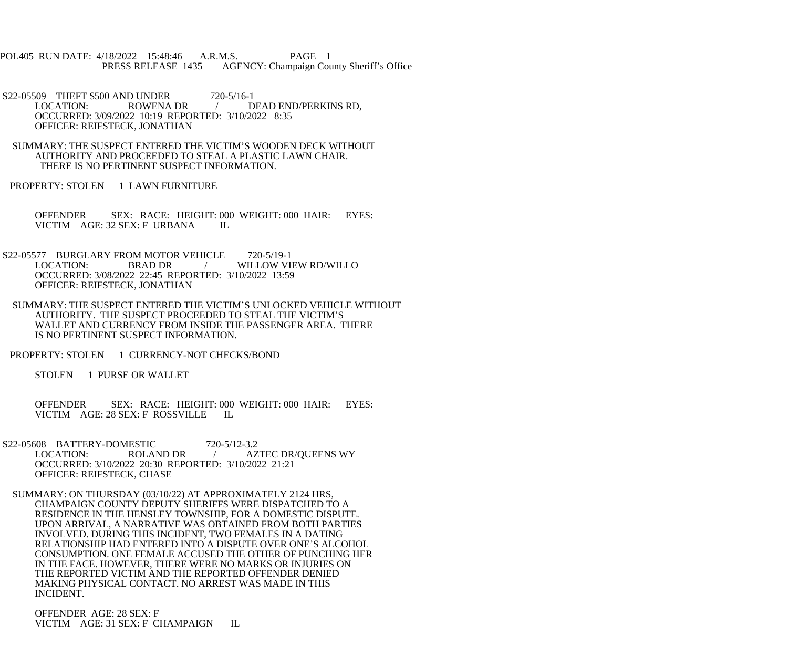POL405 RUN DATE: 4/18/2022 15:48:46 A.R.M.S. PAGE 1 PRESS RELEASE 1435 AGENCY: Champaign County Sheriff's Office

S22-05509 THEFT \$500 AND UNDER 720-5/16-1<br>LOCATION: ROWENA DR / D / DEAD END/PERKINS RD, OCCURRED: 3/09/2022 10:19 REPORTED: 3/10/2022 8:35 OFFICER: REIFSTECK, JONATHAN

 SUMMARY: THE SUSPECT ENTERED THE VICTIM'S WOODEN DECK WITHOUT AUTHORITY AND PROCEEDED TO STEAL A PLASTIC LAWN CHAIR. THERE IS NO PERTINENT SUSPECT INFORMATION.

PROPERTY: STOLEN 1 LAWN FURNITURE

 OFFENDER SEX: RACE: HEIGHT: 000 WEIGHT: 000 HAIR: EYES: VICTIM AGE: 32 SEX: F URBANA IL

S22-05577 BURGLARY FROM MOTOR VEHICLE 720-5/19-1 LOCATION: BRAD DR / WILLOW VIEW RD/WILLO OCCURRED: 3/08/2022 22:45 REPORTED: 3/10/2022 13:59 OFFICER: REIFSTECK, JONATHAN

 SUMMARY: THE SUSPECT ENTERED THE VICTIM'S UNLOCKED VEHICLE WITHOUT AUTHORITY. THE SUSPECT PROCEEDED TO STEAL THE VICTIM'S WALLET AND CURRENCY FROM INSIDE THE PASSENGER AREA. THERE IS NO PERTINENT SUSPECT INFORMATION.

PROPERTY: STOLEN 1 CURRENCY-NOT CHECKS/BOND

STOLEN 1 PURSE OR WALLET

 OFFENDER SEX: RACE: HEIGHT: 000 WEIGHT: 000 HAIR: EYES: VICTIM AGE: 28 SEX: F ROSSVILLE IL

S22-05608 BATTERY-DOMESTIC 720-5/12-3.2<br>LOCATION: ROLAND DR / AZ LOCATION: ROLAND DR / AZTEC DR/QUEENS WY OCCURRED: 3/10/2022 20:30 REPORTED: 3/10/2022 21:21 OFFICER: REIFSTECK, CHASE

 SUMMARY: ON THURSDAY (03/10/22) AT APPROXIMATELY 2124 HRS, CHAMPAIGN COUNTY DEPUTY SHERIFFS WERE DISPATCHED TO A RESIDENCE IN THE HENSLEY TOWNSHIP, FOR A DOMESTIC DISPUTE. UPON ARRIVAL, A NARRATIVE WAS OBTAINED FROM BOTH PARTIES INVOLVED. DURING THIS INCIDENT, TWO FEMALES IN A DATING RELATIONSHIP HAD ENTERED INTO A DISPUTE OVER ONE'S ALCOHOL CONSUMPTION. ONE FEMALE ACCUSED THE OTHER OF PUNCHING HER IN THE FACE. HOWEVER, THERE WERE NO MARKS OR INJURIES ON THE REPORTED VICTIM AND THE REPORTED OFFENDER DENIED MAKING PHYSICAL CONTACT. NO ARREST WAS MADE IN THIS INCIDENT.

 OFFENDER AGE: 28 SEX: F VICTIM AGE: 31 SEX: F CHAMPAIGN IL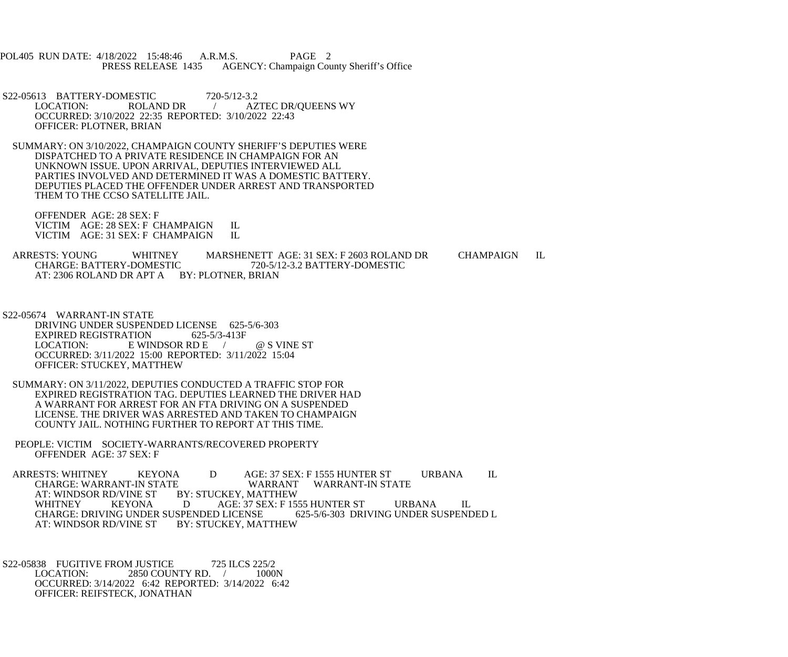POL405 RUN DATE: 4/18/2022 15:48:46 A.R.M.S. PAGE 2<br>PRESS RELEASE 1435 AGENCY: Champaign Cou AGENCY: Champaign County Sheriff's Office

S22-05613 BATTERY-DOMESTIC 720-5/12-3.2<br>LOCATION: ROLAND DR / AZ / AZTEC DR/QUEENS WY OCCURRED: 3/10/2022 22:35 REPORTED: 3/10/2022 22:43 OFFICER: PLOTNER, BRIAN

 SUMMARY: ON 3/10/2022, CHAMPAIGN COUNTY SHERIFF'S DEPUTIES WERE DISPATCHED TO A PRIVATE RESIDENCE IN CHAMPAIGN FOR AN UNKNOWN ISSUE. UPON ARRIVAL, DEPUTIES INTERVIEWED ALL PARTIES INVOLVED AND DETERMINED IT WAS A DOMESTIC BATTERY. DEPUTIES PLACED THE OFFENDER UNDER ARREST AND TRANSPORTED THEM TO THE CCSO SATELLITE JAIL.

 OFFENDER AGE: 28 SEX: F VICTIM AGE: 28 SEX: F CHAMPAIGN IL<br>VICTIM AGE: 31 SEX: F CHAMPAIGN IL VICTIM AGE: 31 SEX: F CHAMPAIGN

ARRESTS: YOUNG WHITNEY MARSHENETT AGE: 31 SEX: F 2603 ROLAND DR CHAMPAIGN IL CHARGE: BATTERY-DOMESTIC 720-5/12-3.2 BATTERY-DOMESTIC CHARGE: BATTERY-DOMESTIC 720-5/12-3.2 BATTERY-DOMESTIC AT: 2306 ROLAND DR APT A BY: PLOTNER, BRIAN

 S22-05674 WARRANT-IN STATE DRIVING UNDER SUSPENDED LICENSE 625-5/6-303<br>EXPIRED REGISTRATION 625-5/3-413F EXPIRED REGISTRATION LOCATION: E WINDSOR RD E / @ S VINE ST OCCURRED: 3/11/2022 15:00 REPORTED: 3/11/2022 15:04 OFFICER: STUCKEY, MATTHEW

 SUMMARY: ON 3/11/2022, DEPUTIES CONDUCTED A TRAFFIC STOP FOR EXPIRED REGISTRATION TAG. DEPUTIES LEARNED THE DRIVER HAD A WARRANT FOR ARREST FOR AN FTA DRIVING ON A SUSPENDED LICENSE. THE DRIVER WAS ARRESTED AND TAKEN TO CHAMPAIGN COUNTY JAIL. NOTHING FURTHER TO REPORT AT THIS TIME.

 PEOPLE: VICTIM SOCIETY-WARRANTS/RECOVERED PROPERTY OFFENDER AGE: 37 SEX: F

 ARRESTS: WHITNEY KEYONA D AGE: 37 SEX: F 1555 HUNTER ST URBANA IL CHARGE: WARRANT-IN STATE WARRANT<br>AT: WINDSOR RD/VINE ST BY: STUCKEY. MATTHEW AT: WINDSOR RD/VINE ST BY:<br>WHITNEY KEYONA D WHITNEY KEYONA D AGE: 37 SEX: F 1555 HUNTER ST URBANA IL<br>CHARGE: DRIVING UNDER SUSPENDED LICENSE 625-5/6-303 DRIVING UNDER SUSPENDED L CHARGE: DRIVING UNDER SUSPENDED LICENSE AT: WINDSOR RD/VINE ST BY: STUCKEY, MATTHEW

S22-05838 FUGITIVE FROM JUSTICE 725 ILCS 225/2<br>LOCATION: 2850 COUNTY RD. / 1000 2850 COUNTY RD. / 1000N OCCURRED: 3/14/2022 6:42 REPORTED: 3/14/2022 6:42 OFFICER: REIFSTECK, JONATHAN